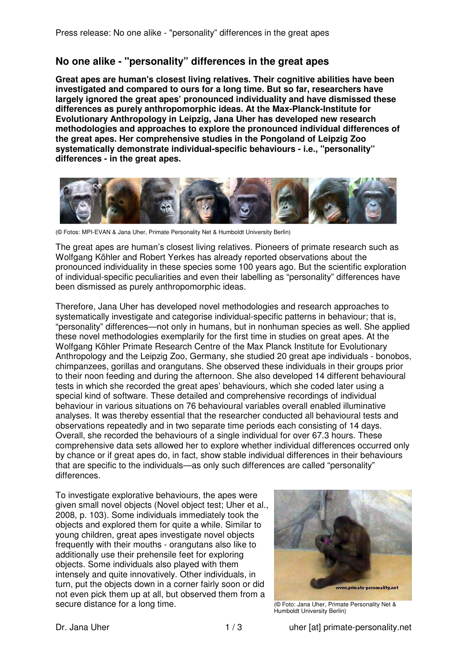## **No one alike - "personality" differences in the great apes**

**Great apes are human's closest living relatives. Their cognitive abilities have been investigated and compared to ours for a long time. But so far, researchers have largely ignored the great apes' pronounced individuality and have dismissed these differences as purely anthropomorphic ideas. At the Max-Planck-Institute for Evolutionary Anthropology in Leipzig, Jana Uher has developed new research methodologies and approaches to explore the pronounced individual differences of the great apes. Her comprehensive studies in the Pongoland of Leipzig Zoo systematically demonstrate individual-specific behaviours - i.e., "personality" differences - in the great apes.** 



(© Fotos: MPI-EVAN & Jana Uher, Primate Personality Net & Humboldt University Berlin)

The great apes are human's closest living relatives. Pioneers of primate research such as Wolfgang Köhler and Robert Yerkes has already reported observations about the pronounced individuality in these species some 100 years ago. But the scientific exploration of individual-specific peculiarities and even their labelling as "personality" differences have been dismissed as purely anthropomorphic ideas.

Therefore, Jana Uher has developed novel methodologies and research approaches to systematically investigate and categorise individual-specific patterns in behaviour; that is, "personality" differences—not only in humans, but in nonhuman species as well. She applied these novel methodologies exemplarily for the first time in studies on great apes. At the Wolfgang Köhler Primate Research Centre of the Max Planck Institute for Evolutionary Anthropology and the Leipzig Zoo, Germany, she studied 20 great ape individuals - bonobos, chimpanzees, gorillas and orangutans. She observed these individuals in their groups prior to their noon feeding and during the afternoon. She also developed 14 different behavioural tests in which she recorded the great apes' behaviours, which she coded later using a special kind of software. These detailed and comprehensive recordings of individual behaviour in various situations on 76 behavioural variables overall enabled illuminative analyses. It was thereby essential that the researcher conducted all behavioural tests and observations repeatedly and in two separate time periods each consisting of 14 days. Overall, she recorded the behaviours of a single individual for over 67.3 hours. These comprehensive data sets allowed her to explore whether individual differences occurred only by chance or if great apes do, in fact, show stable individual differences in their behaviours that are specific to the individuals—as only such differences are called "personality" differences.

To investigate explorative behaviours, the apes were given small novel objects (Novel object test; Uher et al., 2008, p. 103). Some individuals immediately took the objects and explored them for quite a while. Similar to young children, great apes investigate novel objects frequently with their mouths - orangutans also like to additionally use their prehensile feet for exploring objects. Some individuals also played with them intensely and quite innovatively. Other individuals, in turn, put the objects down in a corner fairly soon or did not even pick them up at all, but observed them from a secure distance for a long time.



(© Foto: Jana Uher, Primate Personality Net & Humboldt University Berlin)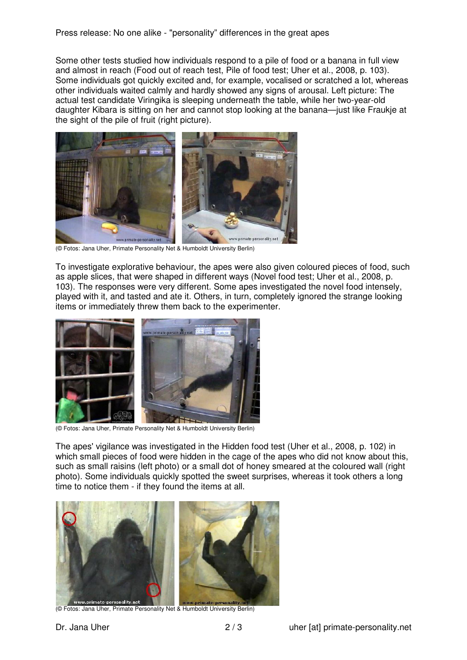Some other tests studied how individuals respond to a pile of food or a banana in full view and almost in reach (Food out of reach test, Pile of food test; Uher et al., 2008, p. 103). Some individuals got quickly excited and, for example, vocalised or scratched a lot, whereas other individuals waited calmly and hardly showed any signs of arousal. Left picture: The actual test candidate Viringika is sleeping underneath the table, while her two-year-old daughter Kibara is sitting on her and cannot stop looking at the banana—just like Fraukje at the sight of the pile of fruit (right picture).



(© Fotos: Jana Uher, Primate Personality Net & Humboldt University Berlin)

To investigate explorative behaviour, the apes were also given coloured pieces of food, such as apple slices, that were shaped in different ways (Novel food test; Uher et al., 2008, p. 103). The responses were very different. Some apes investigated the novel food intensely, played with it, and tasted and ate it. Others, in turn, completely ignored the strange looking items or immediately threw them back to the experimenter.



(© Fotos: Jana Uher, Primate Personality Net & Humboldt University Berlin)

The apes' vigilance was investigated in the Hidden food test (Uher et al., 2008, p. 102) in which small pieces of food were hidden in the cage of the apes who did not know about this, such as small raisins (left photo) or a small dot of honey smeared at the coloured wall (right photo). Some individuals quickly spotted the sweet surprises, whereas it took others a long time to notice them - if they found the items at all.



(© Fotos: Jana Uher, Primate Personality Net & Humboldt University Berlin)